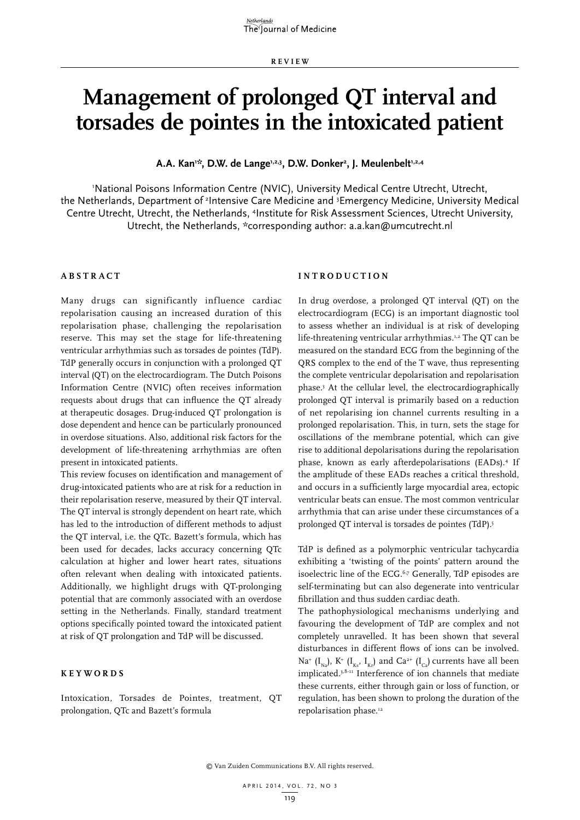# **Management of prolonged QT interval and torsades de pointes in the intoxicated patient**

A.A. Kan<sup>ı</sup>\*, D.W. de Lange<sup>1,2,3</sup>, D.W. Donker<sup>2</sup>, J. Meulenbelt<sup>1,2,4</sup>

'National Poisons Information Centre (NVIC), University Medical Centre Utrecht, Utrecht, the Netherlands, Department of <sup>2</sup>Intensive Care Medicine and <sup>3</sup>Emergency Medicine, University Medical Centre Utrecht, Utrecht, the Netherlands, <sup>4</sup>Institute for Risk Assessment Sciences, Utrecht University, Utrecht, the Netherlands, \*corresponding author: a.a.kan@umcutrecht.nl

## **A B STRA C T**

Many drugs can significantly influence cardiac repolarisation causing an increased duration of this repolarisation phase, challenging the repolarisation reserve. This may set the stage for life-threatening ventricular arrhythmias such as torsades de pointes (TdP). TdP generally occurs in conjunction with a prolonged QT interval (QT) on the electrocardiogram. The Dutch Poisons Information Centre (NVIC) often receives information requests about drugs that can influence the QT already at therapeutic dosages. Drug-induced QT prolongation is dose dependent and hence can be particularly pronounced in overdose situations. Also, additional risk factors for the development of life-threatening arrhythmias are often present in intoxicated patients.

This review focuses on identification and management of drug-intoxicated patients who are at risk for a reduction in their repolarisation reserve, measured by their QT interval. The QT interval is strongly dependent on heart rate, which has led to the introduction of different methods to adjust the QT interval, i.e. the QTc. Bazett's formula, which has been used for decades, lacks accuracy concerning QTc calculation at higher and lower heart rates, situations often relevant when dealing with intoxicated patients. Additionally, we highlight drugs with QT-prolonging potential that are commonly associated with an overdose setting in the Netherlands. Finally, standard treatment options specifically pointed toward the intoxicated patient at risk of QT prolongation and TdP will be discussed.

## **K E Y W ORDS**

Intoxication, Torsades de Pointes, treatment, QT prolongation, QTc and Bazett's formula

## **INTROD U C TION**

In drug overdose, a prolonged QT interval (QT) on the electrocardiogram (ECG) is an important diagnostic tool to assess whether an individual is at risk of developing life-threatening ventricular arrhythmias.<sup>1,2</sup> The QT can be measured on the standard ECG from the beginning of the QRS complex to the end of the T wave, thus representing the complete ventricular depolarisation and repolarisation phase.3 At the cellular level, the electrocardiographically prolonged QT interval is primarily based on a reduction of net repolarising ion channel currents resulting in a prolonged repolarisation. This, in turn, sets the stage for oscillations of the membrane potential, which can give rise to additional depolarisations during the repolarisation phase, known as early afterdepolarisations (EADs).4 If the amplitude of these EADs reaches a critical threshold, and occurs in a sufficiently large myocardial area, ectopic ventricular beats can ensue. The most common ventricular arrhythmia that can arise under these circumstances of a prolonged QT interval is torsades de pointes (TdP).5

TdP is defined as a polymorphic ventricular tachycardia exhibiting a 'twisting of the points' pattern around the isoelectric line of the ECG.6,7 Generally, TdP episodes are self-terminating but can also degenerate into ventricular fibrillation and thus sudden cardiac death.

The pathophysiological mechanisms underlying and favouring the development of TdP are complex and not completely unravelled. It has been shown that several disturbances in different flows of ions can be involved. Na<sup>+</sup> (I<sub>Na</sub>), K<sup>+</sup> (I<sub>Ks</sub>, I<sub>Kr</sub>) and Ca<sup>2+</sup> (I<sub>Ca</sub>) currents have all been implicated.3,8-11 Interference of ion channels that mediate these currents, either through gain or loss of function, or regulation, has been shown to prolong the duration of the repolarisation phase.12

© Van Zuiden Communications B.V. All rights reserved.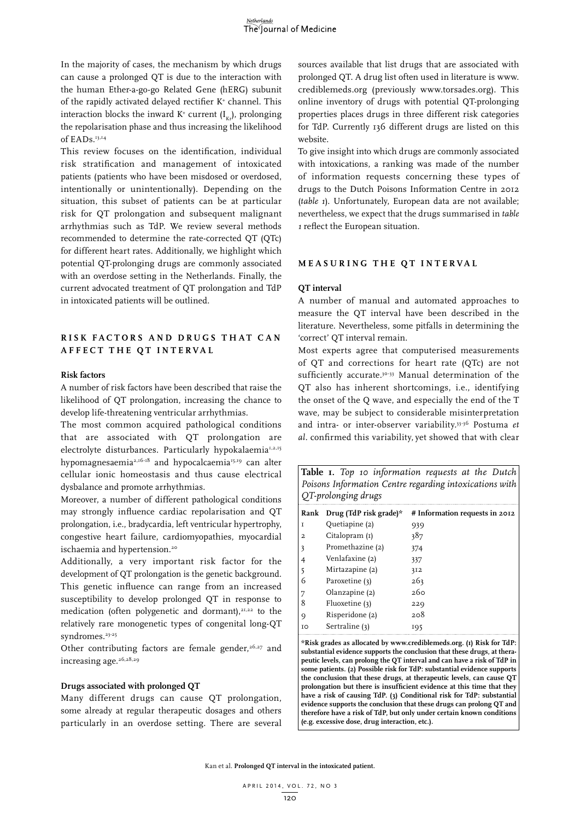In the majority of cases, the mechanism by which drugs can cause a prolonged QT is due to the interaction with the human Ether-a-go-go Related Gene (hERG) subunit of the rapidly activated delayed rectifier K+ channel. This interaction blocks the inward K<sup>+</sup> current (I<sub>Kr</sub>), prolonging the repolarisation phase and thus increasing the likelihood of EADs.<sup>13,14</sup>

This review focuses on the identification, individual risk stratification and management of intoxicated patients (patients who have been misdosed or overdosed, intentionally or unintentionally). Depending on the situation, this subset of patients can be at particular risk for QT prolongation and subsequent malignant arrhythmias such as TdP. We review several methods recommended to determine the rate-corrected QT (QTc) for different heart rates. Additionally, we highlight which potential QT-prolonging drugs are commonly associated with an overdose setting in the Netherlands. Finally, the current advocated treatment of QT prolongation and TdP in intoxicated patients will be outlined.

# **RIS K FA C TORS AND DR U G S T H AT C AN AFFE C T T H E Q T INTER VAL**

### **Risk factors**

A number of risk factors have been described that raise the likelihood of QT prolongation, increasing the chance to develop life-threatening ventricular arrhythmias.

The most common acquired pathological conditions that are associated with QT prolongation are electrolyte disturbances. Particularly hypokalaemia<sup>1,2,15</sup> hypomagnesaemia<sup>2,16-18</sup> and hypocalcaemia<sup>15,19</sup> can alter cellular ionic homeostasis and thus cause electrical dysbalance and promote arrhythmias.

Moreover, a number of different pathological conditions may strongly influence cardiac repolarisation and QT prolongation, i.e., bradycardia, left ventricular hypertrophy, congestive heart failure, cardiomyopathies, myocardial ischaemia and hypertension.<sup>20</sup>

Additionally, a very important risk factor for the development of OT prolongation is the genetic background. This genetic influence can range from an increased susceptibility to develop prolonged QT in response to medication (often polygenetic and dormant), $21,22$  to the relatively rare monogenetic types of congenital long-QT syndromes.<sup>23-25</sup>

Other contributing factors are female gender, $2^{6,27}$  and increasing age.<sup>26,28,29</sup>

### **Drugs associated with prolonged QT**

Many different drugs can cause QT prolongation, some already at regular therapeutic dosages and others particularly in an overdose setting. There are several sources available that list drugs that are associated with prolonged QT. A drug list often used in literature is www. crediblemeds.org (previously www.torsades.org). This online inventory of drugs with potential QT-prolonging properties places drugs in three different risk categories for TdP. Currently 136 different drugs are listed on this website.

To give insight into which drugs are commonly associated with intoxications, a ranking was made of the number of information requests concerning these types of drugs to the Dutch Poisons Information Centre in 2012 (*table 1*). Unfortunately, European data are not available; nevertheless, we expect that the drugs summarised in *table 1* reflect the European situation.

# **M EAS U RIN G T H E Q T INTER VAL**

#### **QT interval**

A number of manual and automated approaches to measure the QT interval have been described in the literature. Nevertheless, some pitfalls in determining the 'correct' QT interval remain.

Most experts agree that computerised measurements of QT and corrections for heart rate (QTc) are not sufficiently accurate.<sup>30-33</sup> Manual determination of the QT also has inherent shortcomings, i.e., identifying the onset of the Q wave, and especially the end of the T wave, may be subject to considerable misinterpretation and intra- or inter-observer variability.33-36 Postuma *et al.* confirmed this variability, yet showed that with clear

| Table I. Top 10 information requests at the Dutch<br>Poisons Information Centre regarding intoxications with<br>QT-prolonging drugs |                             |                                                                       |  |  |  |  |
|-------------------------------------------------------------------------------------------------------------------------------------|-----------------------------|-----------------------------------------------------------------------|--|--|--|--|
|                                                                                                                                     | Rank Drug (TdP risk grade)* | # Information requests in 2012                                        |  |  |  |  |
| T                                                                                                                                   | Quetiapine (2)              | 939                                                                   |  |  |  |  |
| 2                                                                                                                                   | Citalopram (I)              | 387                                                                   |  |  |  |  |
| 3                                                                                                                                   | Promethazine (2)            | 374                                                                   |  |  |  |  |
| $\overline{4}$                                                                                                                      | Venlafaxine (2)             | 337                                                                   |  |  |  |  |
| 5                                                                                                                                   | Mirtazapine (2)             | 3I2                                                                   |  |  |  |  |
| 6                                                                                                                                   | Paroxetine (3)              | 263                                                                   |  |  |  |  |
| 7                                                                                                                                   | Olanzapine (2)              | 260                                                                   |  |  |  |  |
| 8                                                                                                                                   | Fluoxetine $(3)$            | 229                                                                   |  |  |  |  |
| O)                                                                                                                                  | Risperidone (2)             | 208                                                                   |  |  |  |  |
| IO                                                                                                                                  | Sertraline (3)              | 195                                                                   |  |  |  |  |
|                                                                                                                                     |                             | $\frac{1}{1}$ $\frac{1}{1}$ $\frac{1}{1}$ $\frac{1}{1}$ $\frac{1}{1}$ |  |  |  |  |

**\*Risk grades as allocated by www.crediblemeds.org. (1) Risk for TdP: substantial evidence supports the conclusion that these drugs, at therapeutic levels, can prolong the QT interval and can have a risk of TdP in some patients. (2) Possible risk for TdP: substantial evidence supports the conclusion that these drugs, at therapeutic levels, can cause QT prolongation but there is insufficient evidence at this time that they have a risk of causing TdP. (3) Conditional risk for TdP: substantial evidence supports the conclusion that these drugs can prolong QT and therefore have a risk of TdP, but only under certain known conditions (e.g. excessive dose, drug interaction, etc.).**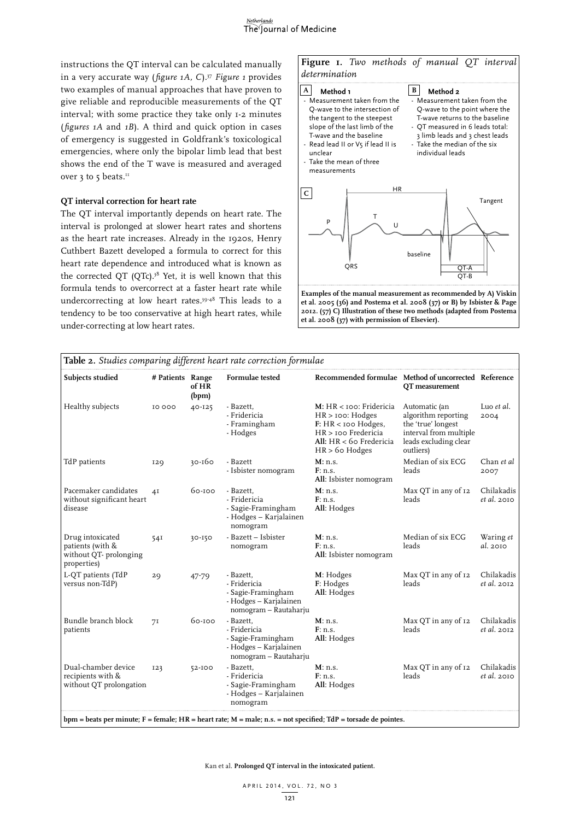

instructions the QT interval can be calculated manually in a very accurate way ( *figure 1A, C*).37 *Figure 1* provides two examples of manual approaches that have proven to give reliable and reproducible measurements of the QT interval; with some practice they take only 1-2 minutes ( *figures 1A* and *1B*). A third and quick option in cases of emergency is suggested in Goldfrank's toxicological emergencies, where only the bipolar limb lead that best shows the end of the T wave is measured and averaged over 3 to 5 beats.<sup>11</sup>

### **QT interval correction for heart rate**

The QT interval importantly depends on heart rate. The interval is prolonged at slower heart rates and shortens as the heart rate increases. Already in the 1920s, Henry Cuthbert Bazett developed a formula to correct for this heart rate dependence and introduced what is known as the corrected OT (OTc).<sup>38</sup> Yet, it is well known that this formula tends to overcorrect at a faster heart rate while undercorrecting at low heart rates.39-48 This leads to a tendency to be too conservative at high heart rates, while under-correcting at low heart rates.

**Figure 1.** *Two methods of manual QT interval determination*



| Subjects studied                                                              | # Patients Range | of HR<br>(bpm) | Formulae tested                                                                                    | Recommended formulae Method of uncorrected Reference                                                                                                        | QT measurement                                                                                                             |                                  |
|-------------------------------------------------------------------------------|------------------|----------------|----------------------------------------------------------------------------------------------------|-------------------------------------------------------------------------------------------------------------------------------------------------------------|----------------------------------------------------------------------------------------------------------------------------|----------------------------------|
| Healthy subjects                                                              | 10 000           | 40-125         | - Bazett,<br>- Fridericia<br>- Framingham<br>- Hodges                                              | M: HR < 100: Fridericia<br>$HR > \text{ioo: Hodges}$<br>F: HR <sub>100</sub> Hodges,<br>HR > 100 Fredericia<br>All: HR < 60 Fredericia<br>$HR > 6$ o Hodges | Automatic (an<br>algorithm reporting<br>the 'true' longest<br>interval from multiple<br>leads excluding clear<br>outliers) | Luo et al.<br>2004               |
| TdP patients                                                                  | <b>I29</b>       | $30 - 160$     | - Bazett<br>- Isbister nomogram                                                                    | M: n.s.<br>F: n.s.<br>All: Isbister nomogram                                                                                                                | Median of six ECG<br>leads                                                                                                 | Chan et al<br>2007               |
| Pacemaker candidates<br>without significant heart<br>disease                  | 4I               | 60-100         | - Bazett,<br>- Fridericia<br>- Sagie-Framingham<br>- Hodges - Karjalainen<br>nomogram              | M: n.s.<br>F: n.s.<br>All: Hodges                                                                                                                           | Max QT in any of 12<br>leads                                                                                               | Chilakadis<br>et al. 2010        |
| Drug intoxicated<br>patients (with &<br>without QT- prolonging<br>properties) | 54I              | $30 - 150$     | - Bazett - Isbister<br>nomogram                                                                    | M: n.s.<br>F: n.s.<br>All: Isbister nomogram                                                                                                                | Median of six ECG<br>leads                                                                                                 | Waring et<br>al. 2010            |
| L-QT patients (TdP<br>versus non-TdP)                                         | 29               | 47-79          | - Bazett,<br>- Fridericia<br>- Sagie-Framingham<br>- Hodges - Karjalainen<br>nomogram - Rautaharju | M: Hodges<br>F: Hodges<br>All: Hodges                                                                                                                       | Max QT in any of 12<br>leads                                                                                               | Chilakadis<br><i>et al.</i> 2012 |
| Bundle branch block<br>patients                                               | 7I               | 60-100         | - Bazett,<br>- Fridericia<br>- Sagie-Framingham<br>- Hodges - Karjalainen<br>nomogram - Rautaharju | M: n.s.<br>F: n.s.<br>All: Hodges                                                                                                                           | Max QT in any of 12<br>leads                                                                                               | Chilakadis<br><i>et al.</i> 2012 |
| Dual-chamber device<br>recipients with &<br>without QT prolongation           | 123              | $52 - 100$     | - Bazett,<br>- Fridericia<br>- Sagie-Framingham<br>- Hodges - Karjalainen<br>nomogram              | M: n.s.<br>F: n.s.<br>All: Hodges                                                                                                                           | Max QT in any of 12<br>leads                                                                                               | Chilakadis<br><i>et al.</i> 2010 |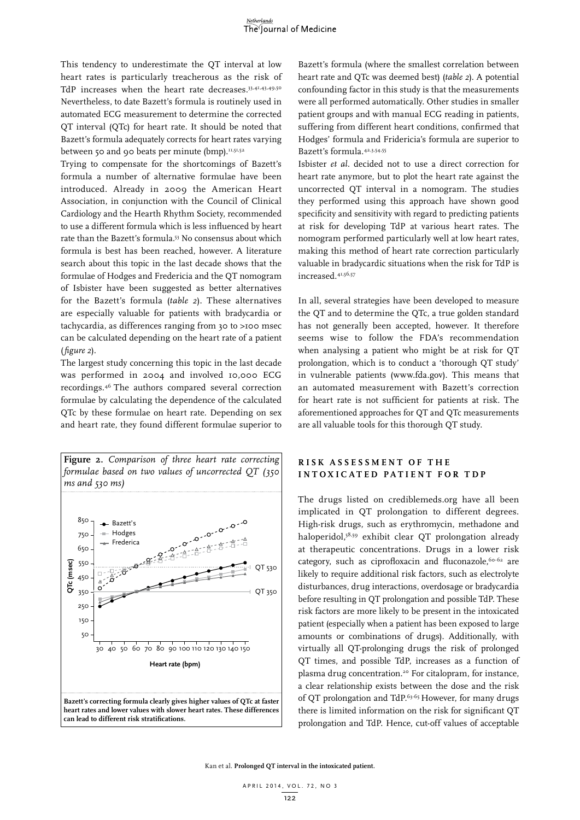This tendency to underestimate the QT interval at low heart rates is particularly treacherous as the risk of TdP increases when the heart rate decreases.<sup>33,41,43,49,50</sup> Nevertheless, to date Bazett's formula is routinely used in automated ECG measurement to determine the corrected QT interval (QTc) for heart rate. It should be noted that Bazett's formula adequately corrects for heart rates varying between 50 and 90 beats per minute (bmp).<sup>11,51,52</sup>

Trying to compensate for the shortcomings of Bazett's formula a number of alternative formulae have been introduced. Already in 2009 the American Heart Association, in conjunction with the Council of Clinical Cardiology and the Hearth Rhythm Society, recommended to use a different formula which is less influenced by heart rate than the Bazett's formula.53 No consensus about which formula is best has been reached, however. A literature search about this topic in the last decade shows that the formulae of Hodges and Fredericia and the QT nomogram of Isbister have been suggested as better alternatives for the Bazett's formula (*table 2*). These alternatives are especially valuable for patients with bradycardia or tachycardia, as differences ranging from 30 to >100 msec can be calculated depending on the heart rate of a patient (*figure 2*).

The largest study concerning this topic in the last decade was performed in 2004 and involved 10,000 ECG recordings.46 The authors compared several correction formulae by calculating the dependence of the calculated QTc by these formulae on heart rate. Depending on sex and heart rate, they found different formulae superior to

**Figure 2.** *Comparison of three heart rate correcting formulae based on two values of uncorrected QT (350 ms and 530 ms)* 850 **Bazett's** - Hodges 750  $\Omega$ Frederica 650 **c (msec)** 550 QT 530 450 **QT** 350 QT 350 250 150 50 30 40 50 60 70 80 90 100 110 120 130 140 150 **Heart rate (bpm) Bazett's correcting formula clearly gives higher values of QTc at faster heart rates and lower values with slower heart rates. These differences can lead to different risk stratifications.** 

Bazett's formula (where the smallest correlation between heart rate and QTc was deemed best) (*table 2*). A potential confounding factor in this study is that the measurements were all performed automatically. Other studies in smaller patient groups and with manual ECG reading in patients, suffering from different heart conditions, confirmed that Hodges' formula and Fridericia's formula are superior to Bazett's formula.42,3,54,55

Isbister *et al.* decided not to use a direct correction for heart rate anymore, but to plot the heart rate against the uncorrected QT interval in a nomogram. The studies they performed using this approach have shown good specificity and sensitivity with regard to predicting patients at risk for developing TdP at various heart rates. The nomogram performed particularly well at low heart rates, making this method of heart rate correction particularly valuable in bradycardic situations when the risk for TdP is increased.41,56,57

In all, several strategies have been developed to measure the QT and to determine the QTc, a true golden standard has not generally been accepted, however. It therefore seems wise to follow the FDA's recommendation when analysing a patient who might be at risk for QT prolongation, which is to conduct a 'thorough QT study' in vulnerable patients (www.fda.gov). This means that an automated measurement with Bazett's correction for heart rate is not sufficient for patients at risk. The aforementioned approaches for QT and QTc measurements are all valuable tools for this thorough QT study.

## **RIS K ASSESS M ENT OF T H E INTO X I C ATED PATIENT FOR TD P**

The drugs listed on crediblemeds.org have all been implicated in QT prolongation to different degrees. High-risk drugs, such as erythromycin, methadone and haloperidol,58,59 exhibit clear QT prolongation already at therapeutic concentrations. Drugs in a lower risk category, such as ciprofloxacin and fluconazole, 60.62 are likely to require additional risk factors, such as electrolyte disturbances, drug interactions, overdosage or bradycardia before resulting in QT prolongation and possible TdP. These risk factors are more likely to be present in the intoxicated patient (especially when a patient has been exposed to large amounts or combinations of drugs). Additionally, with virtually all QT-prolonging drugs the risk of prolonged QT times, and possible TdP, increases as a function of plasma drug concentration.20 For citalopram, for instance, a clear relationship exists between the dose and the risk of QT prolongation and TdP.63-65 However, for many drugs there is limited information on the risk for significant QT prolongation and TdP. Hence, cut-off values of acceptable

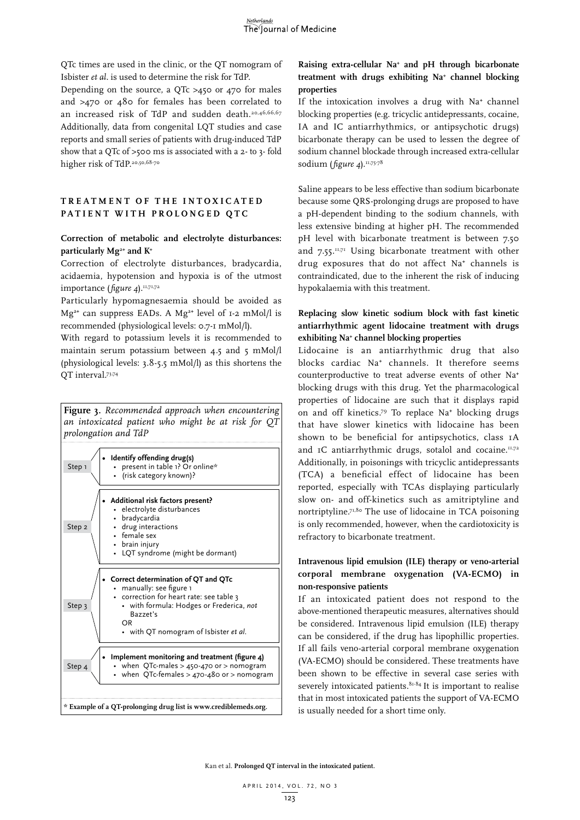QTc times are used in the clinic, or the QT nomogram of Isbister *et al.* is used to determine the risk for TdP.

Depending on the source, a QTc >450 or 470 for males and >470 or 480 for females has been correlated to an increased risk of TdP and sudden death.<sup>20,46,66,67</sup> Additionally, data from congenital LQT studies and case reports and small series of patients with drug-induced TdP show that a QTc of >500 ms is associated with a 2- to 3- fold higher risk of TdP.<sup>20,50,68-70</sup>

# **TREAT M ENT OF T H E INTO X I C ATED PATIENT W IT H P ROLON G ED Q T C**

## **Correction of metabolic and electrolyte disturbances: particularly Mg2+ and K+**

Correction of electrolyte disturbances, bradycardia, acidaemia, hypotension and hypoxia is of the utmost importance (*figure 4*).<sup>11,71,72</sup>

Particularly hypomagnesaemia should be avoided as Mg**2+** can suppress EADs. A Mg**2+** level of 1-2 mMol/l is recommended (physiological levels: 0.7-1 mMol/l).

With regard to potassium levels it is recommended to maintain serum potassium between 4.5 and 5 mMol/l (physiological levels: 3.8-5.5 mMol/l) as this shortens the QT interval.73,74

**Figure 3.** *Recommended approach when encountering an intoxicated patient who might be at risk for QT prolongation and TdP*



# **Raising extra-cellular Na+ and pH through bicarbonate treatment with drugs exhibiting Na+ channel blocking properties**

If the intoxication involves a drug with Na**<sup>+</sup>** channel blocking properties (e.g. tricyclic antidepressants, cocaine, IA and IC antiarrhythmics, or antipsychotic drugs) bicarbonate therapy can be used to lessen the degree of sodium channel blockade through increased extra-cellular sodium (*figure 4*).<sup>11,75-78</sup>

Saline appears to be less effective than sodium bicarbonate because some QRS-prolonging drugs are proposed to have a pH-dependent binding to the sodium channels, with less extensive binding at higher pH. The recommended pH level with bicarbonate treatment is between 7.50 and  $7.55$ .<sup>11,71</sup> Using bicarbonate treatment with other drug exposures that do not affect Na**<sup>+</sup>** channels is contraindicated, due to the inherent the risk of inducing hypokalaemia with this treatment.

# **Replacing slow kinetic sodium block with fast kinetic antiarrhythmic agent lidocaine treatment with drugs exhibiting Na+ channel blocking properties**

Lidocaine is an antiarrhythmic drug that also blocks cardiac Na**+** channels. It therefore seems counterproductive to treat adverse events of other Na**<sup>+</sup>** blocking drugs with this drug. Yet the pharmacological properties of lidocaine are such that it displays rapid on and off kinetics.79 To replace Na**<sup>+</sup>** blocking drugs that have slower kinetics with lidocaine has been shown to be beneficial for antipsychotics, class 1A and <sub>I</sub>C antiarrhythmic drugs, sotalol and cocaine.<sup>11,72</sup> Additionally, in poisonings with tricyclic antidepressants (TCA) a beneficial effect of lidocaine has been reported, especially with TCAs displaying particularly slow on- and off-kinetics such as amitriptyline and nortriptyline.71,80 The use of lidocaine in TCA poisoning is only recommended, however, when the cardiotoxicity is refractory to bicarbonate treatment.

# **Intravenous lipid emulsion (ILE) therapy or veno-arterial corporal membrane oxygenation (VA-ECMO) in non-responsive patients**

If an intoxicated patient does not respond to the above-mentioned therapeutic measures, alternatives should be considered. Intravenous lipid emulsion (ILE) therapy can be considered, if the drug has lipophillic properties. If all fails veno-arterial corporal membrane oxygenation (VA-ECMO) should be considered. These treatments have been shown to be effective in several case series with severely intoxicated patients.<sup>81-84</sup> It is important to realise that in most intoxicated patients the support of VA-ECMO is usually needed for a short time only.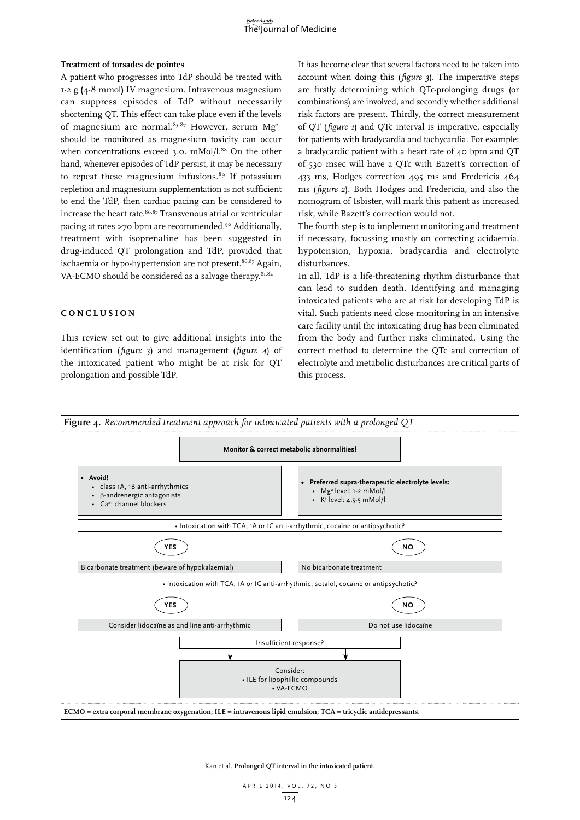#### **Treatment of torsades de pointes**

A patient who progresses into TdP should be treated with 1-2 g **(**4-8 mmol**)** IV magnesium. Intravenous magnesium can suppress episodes of TdP without necessarily shortening QT. This effect can take place even if the levels of magnesium are normal.<sup>85-87</sup> However, serum  $Mg^{2+}$ should be monitored as magnesium toxicity can occur when concentrations exceed 3.0. mMol/l.<sup>88</sup> On the other hand, whenever episodes of TdP persist, it may be necessary to repeat these magnesium infusions. $89$  If potassium repletion and magnesium supplementation is not sufficient to end the TdP, then cardiac pacing can be considered to increase the heart rate.<sup>86,87</sup> Transvenous atrial or ventricular pacing at rates >70 bpm are recommended.90 Additionally, treatment with isoprenaline has been suggested in drug-induced QT prolongation and TdP, provided that ischaemia or hypo-hypertension are not present.<sup>86,87</sup> Again, VA-ECMO should be considered as a salvage therapy. $81,82$ 

## **C ON C L U SION**

This review set out to give additional insights into the identification (*figure 3*) and management (*figure 4*) of the intoxicated patient who might be at risk for QT prolongation and possible TdP.

It has become clear that several factors need to be taken into account when doing this (*figure 3*). The imperative steps are firstly determining which QTc-prolonging drugs (or combinations) are involved, and secondly whether additional risk factors are present. Thirdly, the correct measurement of QT (*figure 1*) and QTc interval is imperative, especially for patients with bradycardia and tachycardia. For example; a bradycardic patient with a heart rate of 40 bpm and QT of 530 msec will have a QTc with Bazett's correction of 433 ms, Hodges correction 495 ms and Fredericia 464 ms (*figure 2*). Both Hodges and Fredericia, and also the nomogram of Isbister, will mark this patient as increased risk, while Bazett's correction would not.

The fourth step is to implement monitoring and treatment if necessary, focussing mostly on correcting acidaemia, hypotension, hypoxia, bradycardia and electrolyte disturbances.

In all, TdP is a life-threatening rhythm disturbance that can lead to sudden death. Identifying and managing intoxicated patients who are at risk for developing TdP is vital. Such patients need close monitoring in an intensive care facility until the intoxicating drug has been eliminated from the body and further risks eliminated. Using the correct method to determine the QTc and correction of electrolyte and metabolic disturbances are critical parts of this process.

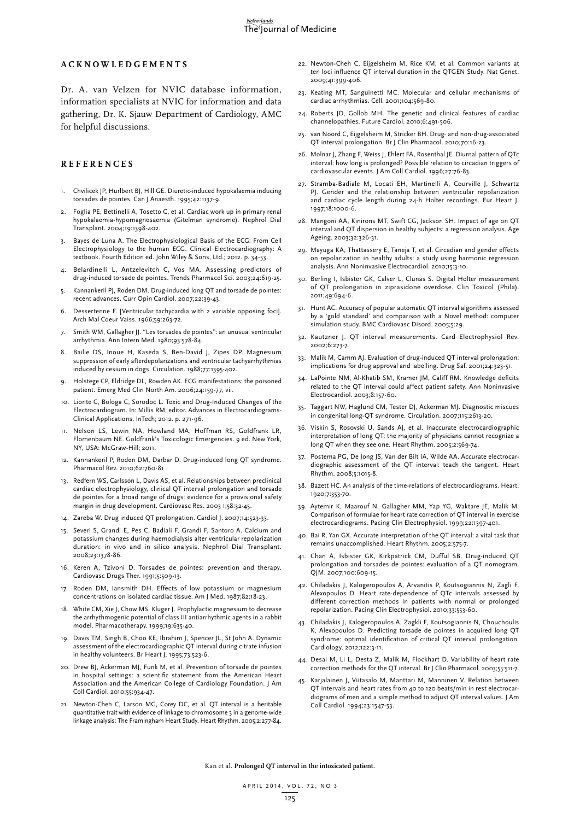## **A C K NO W LED G E M ENTS**

Dr. A. van Velzen for NVIC database information, information specialists at NVIC for information and data gathering, Dr. K. Sjauw Department of Cardiology, AMC for helpful discussions.

#### **REFEREN C ES**

- 1. Chvilicek JP, Hurlbert BJ, Hill GE. Diuretic-induced hypokalaemia inducing torsades de pointes. Can J Anaesth. 1995;42:1137-9.
- 2. Foglia PE, Bettinelli A, Tosetto C, et al. Cardiac work up in primary renal hypokalaemia-hypomagnesaemia (Gitelman syndrome). Nephrol Dial Transplant. 2004;19:1398-402.
- 3. Bayes de Luna A. The Electrophysiological Basis of the ECG: From Cell Electrophysiology to the human ECG. Clinical Electrocardiography: A textbook. Fourth Edition ed. John Wiley & Sons, Ltd.; 2012. p. 34-53.
- Belardinelli L, Antzelevitch C, Vos MA. Assessing predictors of drug-induced torsade de pointes. Trends Pharmacol Sci. 2003;24:619-25.
- 5. Kannankeril PJ, Roden DM. Drug-induced long QT and torsade de pointes: recent advances. Curr Opin Cardiol. 2007;22:39-43.
- Dessertenne F. [Ventricular tachycardia with 2 variable opposing foci]. Arch Mal Coeur Vaiss. 1966;59:263-72.
- 7. Smith WM, Gallagher JJ. "Les torsades de pointes": an unusual ventricular arrhythmia. Ann Intern Med. 1980;93:578-84.
- 8. Bailie DS, Inoue H, Kaseda S, Ben-David J, Zipes DP. Magnesium suppression of early afterdepolarizations and ventricular tachyarrhythmias induced by cesium in dogs. Circulation. 1988;77:1395-402.
- 9. Holstege CP, Eldridge DL, Rowden AK. ECG manifestations: the poisoned patient. Emerg Med Clin North Am. 2006;24:159-77, vii.
- 10. Lionte C, Bologa C, Sorodoc L. Toxic and Drug-Induced Changes of the Electrocardiogram. In: Millis RM, editor. Advances in Electrocardiograms-Clinical Applications. InTech; 2012. p. 271-96.
- 11. Nelson LS, Lewin NA, Howland MA, Hoffman RS, Goldfrank LR, Flomenbaum NE. Goldfrank's Toxicologic Emergencies. 9 ed. New York, NY, USA: McGraw-Hill; 2011.
- 12. Kannankeril P, Roden DM, Darbar D. Drug-induced long QT syndrome. Pharmacol Rev. 2010;62:760-81
- 13. Redfern WS, Carlsson L, Davis AS, et al. Relationships between preclinical cardiac electrophysiology, clinical QT interval prolongation and torsade de pointes for a broad range of drugs: evidence for a provisional safety margin in drug development. Cardiovasc Res. 2003 1;58:32-45.
- 14. Zareba W. Drug induced QT prolongation. Cardiol J. 2007;14:523-33.
- 15. Severi S, Grandi E, Pes C, Badiali F, Grandi F, Santoro A. Calcium and potassium changes during haemodialysis alter ventricular repolarization duration: in vivo and in silico analysis. Nephrol Dial Transplant. 2008;23:1378-86.
- 16. Keren A, Tzivoni D. Torsades de pointes: prevention and therapy. Cardiovasc Drugs Ther. 1991;5:509-13.
- 17. Roden DM, Iansmith DH. Effects of low potassium or magnesium concentrations on isolated cardiac tissue. Am J Med. 1987;82:18-23.
- 18. White CM, Xie J, Chow MS, Kluger J. Prophylactic magnesium to decrease the arrhythmogenic potential of class III antiarrhythmic agents in a rabbit model. Pharmacotherapy. 1999;19:635-40.
- 19. Davis TM, Singh B, Choo KE, Ibrahim J, Spencer JL, St John A. Dynamic assessment of the electrocardiographic QT interval during citrate infusion in healthy volunteers. Br Heart J. 1995;73:523-6.
- 20. Drew BJ, Ackerman MJ, Funk M, et al. Prevention of torsade de pointes in hospital settings: a scientific statement from the American Heart Association and the American College of Cardiology Foundation. J Am Coll Cardiol. 2010;55:934-47.
- 21. Newton-Cheh C, Larson MG, Corey DC, et al. QT interval is a heritable quantitative trait with evidence of linkage to chromosome 3 in a genome-wide linkage analysis: The Framingham Heart Study. Heart Rhythm. 2005;2:277-84.
- 22. Newton-Cheh C, Eijgelsheim M, Rice KM, et al. Common variants at ten loci influence QT interval duration in the QTGEN Study. Nat Genet. 2009;41:399-406.
- 23. Keating MT, Sanguinetti MC. Molecular and cellular mechanisms of cardiac arrhythmias. Cell. 2001;104:569-80.
- 24. Roberts JD, Gollob MH. The genetic and clinical features of cardiac channelopathies. Future Cardiol. 2010;6:491-506.
- 25. van Noord C, Eijgelsheim M, Stricker BH. Drug- and non-drug-associated QT interval prolongation. Br J Clin Pharmacol. 2010;70:16-23.
- 26. Molnar J, Zhang F, Weiss J, Ehlert FA, Rosenthal JE. Diurnal pattern of QTc interval: how long is prolonged? Possible relation to circadian triggers of cardiovascular events. J Am Coll Cardiol. 1996;27:76-83.
- 27. Stramba-Badiale M, Locati EH, Martinelli A, Courville J, Schwartz PJ. Gender and the relationship between ventricular repolarization and cardiac cycle length during 24-h Holter recordings. Eur Heart J. 1997;18:1000-6.
- 28. Mangoni AA, Kinirons MT, Swift CG, Jackson SH. Impact of age on QT interval and QT dispersion in healthy subjects: a regression analysis. Age Ageing. 2003;32:326-31.
- 29. Mayuga KA, Thattassery E, Taneja T, et al. Circadian and gender effects on repolarization in healthy adults: a study using harmonic regression analysis. Ann Noninvasive Electrocardiol. 2010;15:3-10.
- 30. Berling I, Isbister GK, Calver L, Clunas S. Digital Holter measurement of QT prolongation in ziprasidone overdose. Clin Toxicol (Phila). 2011;49:694-6.
- 31. Hunt AC. Accuracy of popular automatic QT interval algorithms assessed by a 'gold standard' and comparison with a Novel method: computer simulation study. BMC Cardiovasc Disord. 2005;5:29.
- 32. Kautzner J. QT interval measurements. Card Electrophysiol Rev. 2002;6:273-7.
- 33. Malik M, Camm AJ. Evaluation of drug-induced QT interval prolongation: implications for drug approval and labelling. Drug Saf. 2001;24:323-51.
- 34. LaPointe NM, Al-Khatib SM, Kramer JM, Califf RM. Knowledge deficits related to the QT interval could affect patient safety. Ann Noninvasive Electrocardiol. 2003;8:157-60.
- 35. Taggart NW, Haglund CM, Tester DJ, Ackerman MJ. Diagnostic miscues in congenital long-QT syndrome. Circulation. 2007;115:2613-20.
- 36. Viskin S, Rosovski U, Sands AJ, et al. Inaccurate electrocardiographic interpretation of long QT: the majority of physicians cannot recognize a long QT when they see one. Heart Rhythm. 2005;2:569-74.
- 37. Postema PG, De Jong JS, Van der Bilt IA, Wilde AA. Accurate electrocardiographic assessment of the QT interval: teach the tangent. Heart Rhythm. 2008;5:1015-8.
- 38. Bazett HC. An analysis of the time-relations of electrocardiograms. Heart. 1920;7:353-70.
- 39. Aytemir K, Maarouf N, Gallagher MM, Yap YG, Waktare JE, Malik M. Comparison of formulae for heart rate correction of QT interval in exercise electrocardiograms. Pacing Clin Electrophysiol. 1999;22:1397-401.
- 40. Bai R, Yan GX. Accurate interpretation of the QT interval: a vital task that remains unaccomplished. Heart Rhythm. 2005;2:575-7.
- 41. Chan A, Isbister GK, Kirkpatrick CM, Dufful SB. Drug-induced QT prolongation and torsades de pointes: evaluation of a QT nomogram. QJM. 2007;100:609-15.
- 42. Chiladakis J, Kalogeropoulos A, Arvanitis P, Koutsogiannis N, Zagli F, Alexopoulos D. Heart rate-dependence of QTc intervals assessed by different correction methods in patients with normal or prolonged repolarization. Pacing Clin Electrophysiol. 2010;33:553-60.
- 43. Chiladakis J, Kalogeropoulos A, Zagkli F, Koutsogiannis N, Chouchoulis K, Alexopoulos D. Predicting torsade de pointes in acquired long QT syndrome: optimal identification of critical QT interval prolongation. Cardiology. 2012;122:3-11.
- 44. Desai M, Li L, Desta Z, Malik M, Flockhart D. Variability of heart rate correction methods for the QT interval. Br J Clin Pharmacol. 2003;55:511-7.
- 45. Karjalainen J, Viitasalo M, Manttari M, Manninen V. Relation between QT intervals and heart rates from 40 to 120 beats/min in rest electrocardiograms of men and a simple method to adjust QT interval values. J Am Coll Cardiol. 1994;23:1547-53.